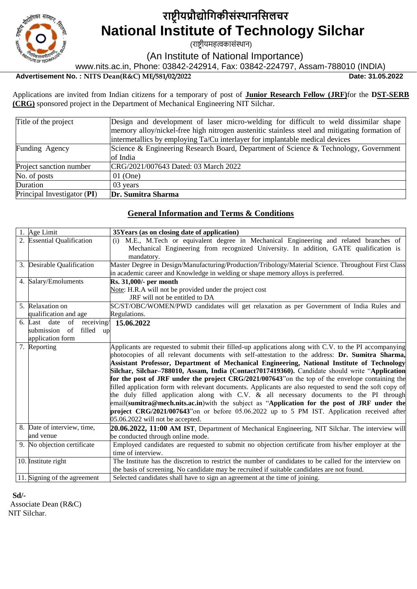

# **राष्ट्रीयप्रौद्योगिकीसंस्थानगसलचर National Institute of Technology Silchar**

(राष्ट्रीयमहत्वकासंस्थान)

(An Institute of National Importance)

www.nits.ac.in, Phone: 03842-242914, Fax: 03842-224797, Assam-788010 (INDIA)

# **Advertisement No. : NITS Dean(R&C) ME/581/02/2022 Date: 31.05.2022**

Applications are invited from Indian citizens for a temporary of post of **Junior Research Fellow (JRF)**for the **DST-SERB (CRG)** sponsored project in the Department of Mechanical Engineering NIT Silchar.

| Title of the project        | Design and development of laser micro-welding for difficult to weld dissimilar shape          |
|-----------------------------|-----------------------------------------------------------------------------------------------|
|                             | memory alloy/nickel-free high nitrogen austenitic stainless steel and mitigating formation of |
|                             | intermetallics by employing Ta/Cu interlayer for implantable medical devices                  |
| Funding Agency              | Science & Engineering Research Board, Department of Science & Technology, Government          |
|                             | of India                                                                                      |
| Project sanction number     | CRG/2021/007643 Dated: 03 March 2022                                                          |
| No. of posts                | $01$ (One)                                                                                    |
| Duration                    | 03 years                                                                                      |
| Principal Investigator (PI) | Dr. Sumitra Sharma                                                                            |

#### **General Information and Terms & Conditions**

| 1. Age Limit                     | 35Years (as on closing date of application)                                                                                                                                                                 |  |  |  |  |
|----------------------------------|-------------------------------------------------------------------------------------------------------------------------------------------------------------------------------------------------------------|--|--|--|--|
| 2. Essential Qualification       | M.E., M.Tech or equivalent degree in Mechanical Engineering and related branches of<br>(i)                                                                                                                  |  |  |  |  |
|                                  | Mechanical Engineering from recognized University. In addition, GATE qualification is                                                                                                                       |  |  |  |  |
|                                  | mandatory.                                                                                                                                                                                                  |  |  |  |  |
| 3. Desirable Qualification       | Master Degree in Design/Manufacturing/Production/Tribology/Material Science. Throughout First Class                                                                                                         |  |  |  |  |
|                                  | in academic career and Knowledge in welding or shape memory alloys is preferred.                                                                                                                            |  |  |  |  |
| 4. Salary/Emoluments             | Rs. 31,000/- per month                                                                                                                                                                                      |  |  |  |  |
|                                  | Note: H.R.A will not be provided under the project cost                                                                                                                                                     |  |  |  |  |
|                                  | JRF will not be entitled to DA                                                                                                                                                                              |  |  |  |  |
| 5. Relaxation on                 | SC/ST/OBC/WOMEN/PWD candidates will get relaxation as per Government of India Rules and                                                                                                                     |  |  |  |  |
| qualification and age            | Regulations.                                                                                                                                                                                                |  |  |  |  |
| 6. Last date of receiving/       | 15.06.2022                                                                                                                                                                                                  |  |  |  |  |
| filled<br>submission<br>of<br>up |                                                                                                                                                                                                             |  |  |  |  |
| application form                 |                                                                                                                                                                                                             |  |  |  |  |
| 7. Reporting                     | Applicants are requested to submit their filled-up applications along with C.V. to the PI accompanying                                                                                                      |  |  |  |  |
|                                  | photocopies of all relevant documents with self-attestation to the address: Dr. Sumitra Sharma,                                                                                                             |  |  |  |  |
|                                  | Assistant Professor, Department of Mechanical Engineering, National Institute of Technology                                                                                                                 |  |  |  |  |
|                                  | Silchar, Silchar–788010, Assam, India (Contact7017419360). Candidate should write "Application"                                                                                                             |  |  |  |  |
|                                  | for the post of JRF under the project CRG/2021/007643" on the top of the envelope containing the<br>filled application form with relevant documents. Applicants are also requested to send the soft copy of |  |  |  |  |
|                                  | the duly filled application along with C.V. & all necessary documents to the PI through                                                                                                                     |  |  |  |  |
|                                  | email(sumitra@mech.nits.ac.in) with the subject as "Application for the post of JRF under the                                                                                                               |  |  |  |  |
|                                  | project CRG/2021/007643"on or before 05.06.2022 up to 5 PM IST. Application received after                                                                                                                  |  |  |  |  |
|                                  | 05.06.2022 will not be accepted.                                                                                                                                                                            |  |  |  |  |
| 8. Date of interview, time,      | [20.06.2022, 11:00 AM IST, Department of Mechanical Engineering, NIT Silchar. The interview will                                                                                                            |  |  |  |  |
| and venue                        | be conducted through online mode.                                                                                                                                                                           |  |  |  |  |
| 9. No objection certificate      | Employed candidates are requested to submit no objection certificate from his/her employer at the                                                                                                           |  |  |  |  |
|                                  | time of interview.                                                                                                                                                                                          |  |  |  |  |
| 10. Institute right              | The Institute has the discretion to restrict the number of candidates to be called for the interview on                                                                                                     |  |  |  |  |
|                                  | the basis of screening. No candidate may be recruited if suitable candidates are not found.                                                                                                                 |  |  |  |  |
| 11. Signing of the agreement     | Selected candidates shall have to sign an agreement at the time of joining.                                                                                                                                 |  |  |  |  |

**Sd/-**

 Associate Dean (R&C) NIT Silchar.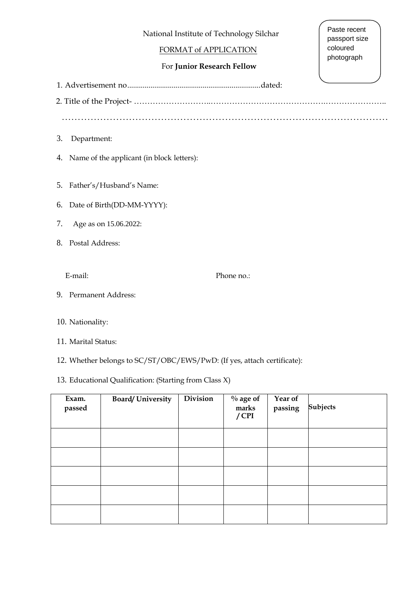National Institute of Technology Silchar

# FORMAT of APPLICATION

# For **Junior Research Fellow**

Paste recent passport size coloured photograph

1. Advertisement no.....................................................................dated:

2. Title of the Project- ………………………..…………………………………….…………………..

…………………………………………………………………………………………

- 3. Department:
- 4. Name of the applicant (in block letters):

5. Father's/Husband's Name:

- 6. Date of Birth(DD-MM-YYYY):
- 7. Age as on 15.06.2022:
- 8. Postal Address:

E-mail: Phone no.:

9. Permanent Address:

### 10. Nationality:

- 11. Marital Status:
- 12. Whether belongs to SC/ST/OBC/EWS/PwD: (If yes, attach certificate):

## 13. Educational Qualification: (Starting from Class X)

| Exam.<br>passed | <b>Board/University</b> | Division | $\%$ age of<br>marks<br>$/$ CPI | Year of<br>passing | <b>Subjects</b> |
|-----------------|-------------------------|----------|---------------------------------|--------------------|-----------------|
|                 |                         |          |                                 |                    |                 |
|                 |                         |          |                                 |                    |                 |
|                 |                         |          |                                 |                    |                 |
|                 |                         |          |                                 |                    |                 |
|                 |                         |          |                                 |                    |                 |